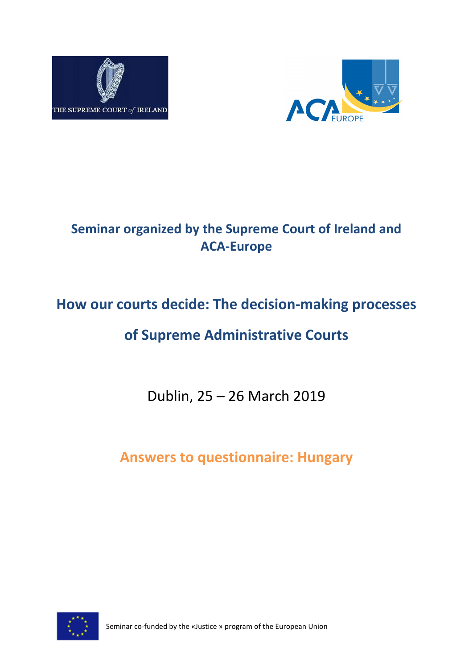



# **Seminar organized by the Supreme Court of Ireland and ACA-Europe**

# **How our courts decide: The decision-making processes**

# **of Supreme Administrative Courts**

Dublin, 25 – 26 March 2019

**Answers to questionnaire: Hungary**



Seminar co-funded by the «Justice » program of the European Union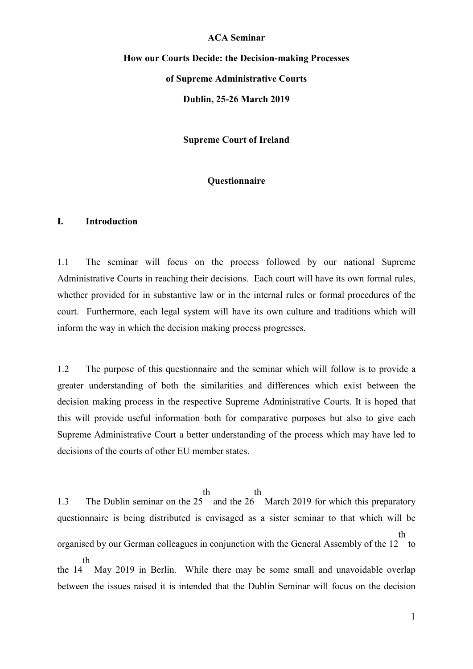#### **ACA Seminar**

# **How our Courts Decide: the Decision-making Processes of Supreme Administrative Courts Dublin, 25-26 March 2019**

**Supreme Court of Ireland**

#### **Questionnaire**

#### **I. Introduction**

1.1 The seminar will focus on the process followed by our national Supreme Administrative Courts in reaching their decisions. Each court will have its own formal rules, whether provided for in substantive law or in the internal rules or formal procedures of the court. Furthermore, each legal system will have its own culture and traditions which will inform the way in which the decision making process progresses.

1.2 The purpose of this questionnaire and the seminar which will follow is to provide a greater understanding of both the similarities and differences which exist between the decision making process in the respective Supreme Administrative Courts. It is hoped that this will provide useful information both for comparative purposes but also to give each Supreme Administrative Court a better understanding of the process which may have led to decisions of the courts of other EU member states.

1.3 The Dublin seminar on the 25 and the 26 March 2019 for which this preparatory th th questionnaire is being distributed is envisaged as a sister seminar to that which will be organised by our German colleagues in conjunction with the General Assembly of the 12 to th the 14 th May 2019 in Berlin. While there may be some small and unavoidable overlap

between the issues raised it is intended that the Dublin Seminar will focus on the decision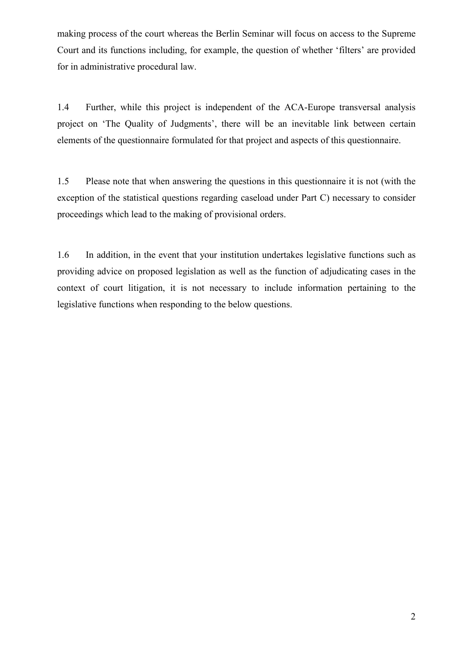making process of the court whereas the Berlin Seminar will focus on access to the Supreme Court and its functions including, for example, the question of whether 'filters' are provided for in administrative procedural law.

1.4 Further, while this project is independent of the ACA-Europe transversal analysis project on 'The Quality of Judgments', there will be an inevitable link between certain elements of the questionnaire formulated for that project and aspects of this questionnaire.

1.5 Please note that when answering the questions in this questionnaire it is not (with the exception of the statistical questions regarding caseload under Part C) necessary to consider proceedings which lead to the making of provisional orders.

1.6 In addition, in the event that your institution undertakes legislative functions such as providing advice on proposed legislation as well as the function of adjudicating cases in the context of court litigation, it is not necessary to include information pertaining to the legislative functions when responding to the below questions.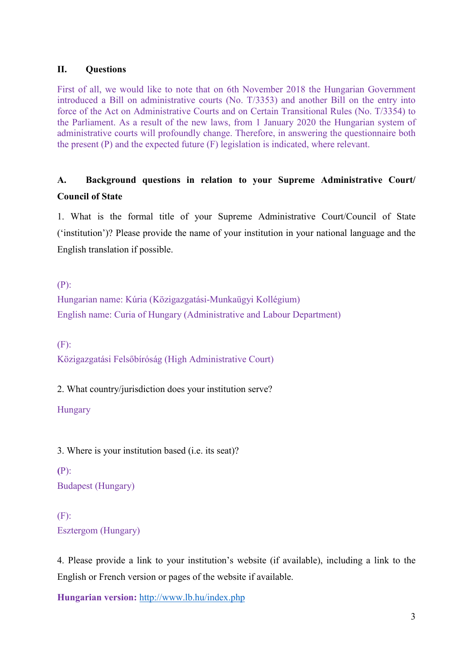### **II. Questions**

First of all, we would like to note that on 6th November 2018 the Hungarian Government introduced a Bill on administrative courts (No. T/3353) and another Bill on the entry into force of the Act on Administrative Courts and on Certain Transitional Rules (No. T/3354) to the Parliament. As a result of the new laws, from 1 January 2020 the Hungarian system of administrative courts will profoundly change. Therefore, in answering the questionnaire both the present (P) and the expected future (F) legislation is indicated, where relevant.

# **A. Background questions in relation to your Supreme Administrative Court/ Council of State**

1. What is the formal title of your Supreme Administrative Court/Council of State ('institution')? Please provide the name of your institution in your national language and the English translation if possible.

(P):

Hungarian name: Kúria (Közigazgatási-Munkaügyi Kollégium) English name: Curia of Hungary (Administrative and Labour Department)

(F):

Közigazgatási Felsőbíróság (High Administrative Court)

2. What country/jurisdiction does your institution serve?

Hungary

3. Where is your institution based (i.e. its seat)?

**(**P): Budapest (Hungary)

(F): Esztergom (Hungary)

4. Please provide a link to your institution's website (if available), including a link to the English or French version or pages of the website if available.

**Hungarian version:** <http://www.lb.hu/index.php>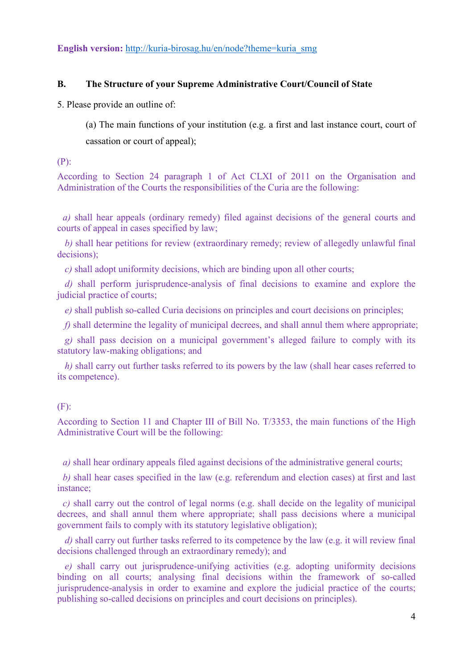**English version:** [http://kuria-birosag.hu/en/node?theme=kuria\\_smg](http://kuria-birosag.hu/en/node?theme=kuria_smg)

#### **B. The Structure of your Supreme Administrative Court/Council of State**

5. Please provide an outline of:

(a) The main functions of your institution (e.g. a first and last instance court, court of cassation or court of appeal);

(P):

According to Section 24 paragraph 1 of Act CLXI of 2011 on the Organisation and Administration of the Courts the responsibilities of the Curia are the following:

*a)* shall hear appeals (ordinary remedy) filed against decisions of the general courts and courts of appeal in cases specified by law;

*b)* shall hear petitions for review (extraordinary remedy; review of allegedly unlawful final decisions);

*c)* shall adopt uniformity decisions, which are binding upon all other courts;

*d)* shall perform jurisprudence-analysis of final decisions to examine and explore the judicial practice of courts;

*e*) shall publish so-called Curia decisions on principles and court decisions on principles;

*f)* shall determine the legality of municipal decrees, and shall annul them where appropriate;

*g)* shall pass decision on a municipal government's alleged failure to comply with its statutory law-making obligations; and

*h)* shall carry out further tasks referred to its powers by the law (shall hear cases referred to its competence).

#### (F):

According to Section 11 and Chapter III of Bill No. T/3353, the main functions of the High Administrative Court will be the following:

*a)* shall hear ordinary appeals filed against decisions of the administrative general courts;

*b)* shall hear cases specified in the law (e.g. referendum and election cases) at first and last instance;

*c)* shall carry out the control of legal norms (e.g. shall decide on the legality of municipal decrees, and shall annul them where appropriate; shall pass decisions where a municipal government fails to comply with its statutory legislative obligation);

*d)* shall carry out further tasks referred to its competence by the law (e.g. it will review final decisions challenged through an extraordinary remedy); and

*e)* shall carry out jurisprudence-unifying activities (e.g. adopting uniformity decisions binding on all courts; analysing final decisions within the framework of so-called jurisprudence-analysis in order to examine and explore the judicial practice of the courts; publishing so-called decisions on principles and court decisions on principles).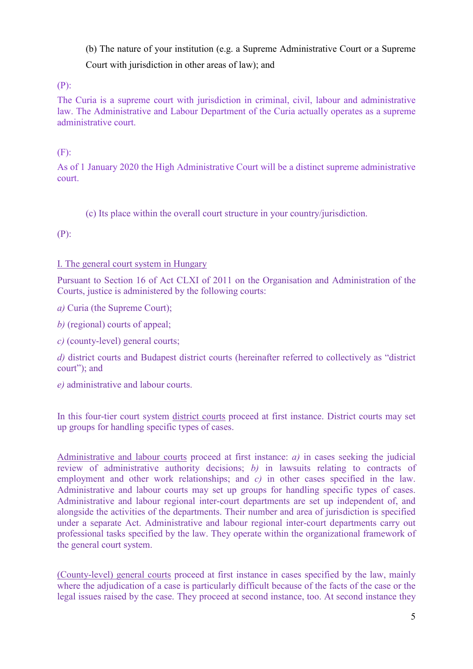(b) The nature of your institution (e.g. a Supreme Administrative Court or a Supreme Court with jurisdiction in other areas of law); and

(P):

The Curia is a supreme court with jurisdiction in criminal, civil, labour and administrative law. The Administrative and Labour Department of the Curia actually operates as a supreme administrative court.

# (F):

As of 1 January 2020 the High Administrative Court will be a distinct supreme administrative court.

(c) Its place within the overall court structure in your country/jurisdiction.

(P):

# I. The general court system in Hungary

Pursuant to Section 16 of Act CLXI of 2011 on the Organisation and Administration of the Courts, justice is administered by the following courts:

*a)* Curia (the Supreme Court);

*b)* (regional) courts of appeal;

*c)* (county-level) general courts;

*d)* district courts and Budapest district courts (hereinafter referred to collectively as "district court"); and

*e)* administrative and labour courts.

In this four-tier court system district courts proceed at first instance. District courts may set up groups for handling specific types of cases.

Administrative and labour courts proceed at first instance:  $a$ ) in cases seeking the judicial review of administrative authority decisions; *b)* in lawsuits relating to contracts of employment and other work relationships; and *c)* in other cases specified in the law. Administrative and labour courts may set up groups for handling specific types of cases. Administrative and labour regional inter-court departments are set up independent of, and alongside the activities of the departments. Their number and area of jurisdiction is specified under a separate Act. Administrative and labour regional inter-court departments carry out professional tasks specified by the law. They operate within the organizational framework of the general court system.

(County-level) general courts proceed at first instance in cases specified by the law, mainly where the adjudication of a case is particularly difficult because of the facts of the case or the legal issues raised by the case. They proceed at second instance, too. At second instance they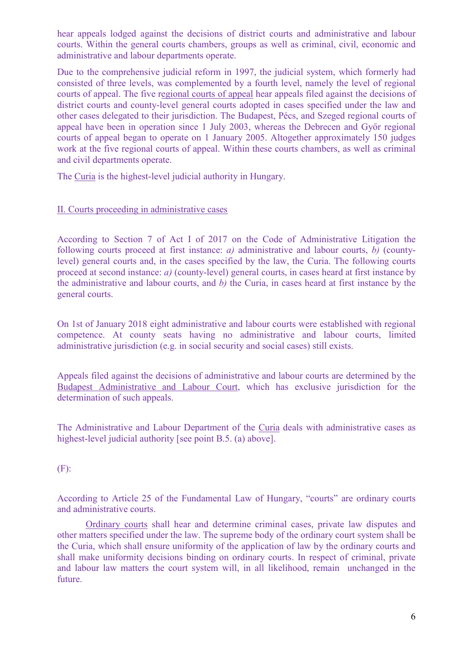hear appeals lodged against the decisions of district courts and administrative and labour courts. Within the general courts chambers, groups as well as criminal, civil, economic and administrative and labour departments operate.

Due to the comprehensive judicial reform in 1997, the judicial system, which formerly had consisted of three levels, was complemented by a fourth level, namely the level of regional courts of appeal. The five regional courts of appeal hear appeals filed against the decisions of district courts and county-level general courts adopted in cases specified under the law and other cases delegated to their jurisdiction. The Budapest, Pécs, and Szeged regional courts of appeal have been in operation since 1 July 2003, whereas the Debrecen and Győr regional courts of appeal began to operate on 1 January 2005. Altogether approximately 150 judges work at the five regional courts of appeal. Within these courts chambers, as well as criminal and civil departments operate.

The Curia is the highest-level judicial authority in Hungary.

#### II. Courts proceeding in administrative cases

According to Section 7 of Act I of 2017 on the Code of Administrative Litigation the following courts proceed at first instance: *a)* administrative and labour courts, *b)* (countylevel) general courts and, in the cases specified by the law, the Curia. The following courts proceed at second instance: *a)* (county-level) general courts, in cases heard at first instance by the administrative and labour courts, and *b)* the Curia, in cases heard at first instance by the general courts.

On 1st of January 2018 eight administrative and labour courts were established with regional competence. At county seats having no administrative and labour courts, limited administrative jurisdiction (e.g. in social security and social cases) still exists.

Appeals filed against the decisions of administrative and labour courts are determined by the Budapest Administrative and Labour Court, which has exclusive jurisdiction for the determination of such appeals.

The Administrative and Labour Department of the Curia deals with administrative cases as highest-level judicial authority [see point B.5. (a) above].

#### (F):

According to Article 25 of the Fundamental Law of Hungary, "courts" are ordinary courts and administrative courts.

Ordinary courts shall hear and determine criminal cases, private law disputes and other matters specified under the law. The supreme body of the ordinary court system shall be the Curia, which shall ensure uniformity of the application of law by the ordinary courts and shall make uniformity decisions binding on ordinary courts. In respect of criminal, private and labour law matters the court system will, in all likelihood, remain unchanged in the future.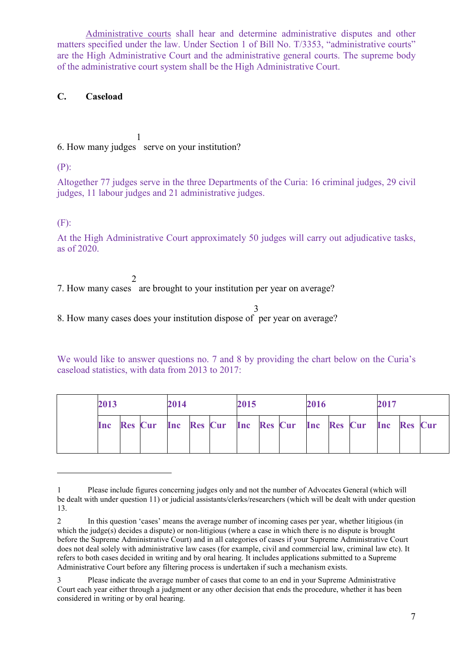Administrative courts shall hear and determine administrative disputes and other matters specified under the law. Under Section 1 of Bill No. T/3353, "administrative courts" are the High Administrative Court and the administrative general courts. The supreme body of the administrative court system shall be the High Administrative Court.

#### **C. Caseload**

6. How many judges serve on your institution? [1](#page-7-0)

(P):

Altogether 77 judges serve in the three Departments of the Curia: 16 criminal judges, 29 civil judges, 11 labour judges and 21 administrative judges.

(F):

<u>.</u>

At the High Administrative Court approximately 50 judges will carry out adjudicative tasks, as of 2020.

7. How many cases are brought to your institution per year on average? [2](#page-7-1)

8. How many cases does your institution dispose of per year on average? [3](#page-7-2)

We would like to answer questions no. 7 and 8 by providing the chart below on the Curia's caseload statistics, with data from 2013 to 2017:

|                                                             | 2017 |  |  |
|-------------------------------------------------------------|------|--|--|
| Inc Res Cur Inc Res Cur Inc Res Cur Inc Res Cur Inc Res Cur |      |  |  |

<span id="page-7-0"></span><sup>1</sup> Please include figures concerning judges only and not the number of Advocates General (which will be dealt with under question 11) or judicial assistants/clerks/researchers (which will be dealt with under question 13.

<span id="page-7-1"></span><sup>2</sup> In this question 'cases' means the average number of incoming cases per year, whether litigious (in which the judge(s) decides a dispute) or non-litigious (where a case in which there is no dispute is brought before the Supreme Administrative Court) and in all categories of cases if your Supreme Administrative Court does not deal solely with administrative law cases (for example, civil and commercial law, criminal law etc). It refers to both cases decided in writing and by oral hearing. It includes applications submitted to a Supreme Administrative Court before any filtering process is undertaken if such a mechanism exists.

<span id="page-7-2"></span><sup>3</sup> Please indicate the average number of cases that come to an end in your Supreme Administrative Court each year either through a judgment or any other decision that ends the procedure, whether it has been considered in writing or by oral hearing.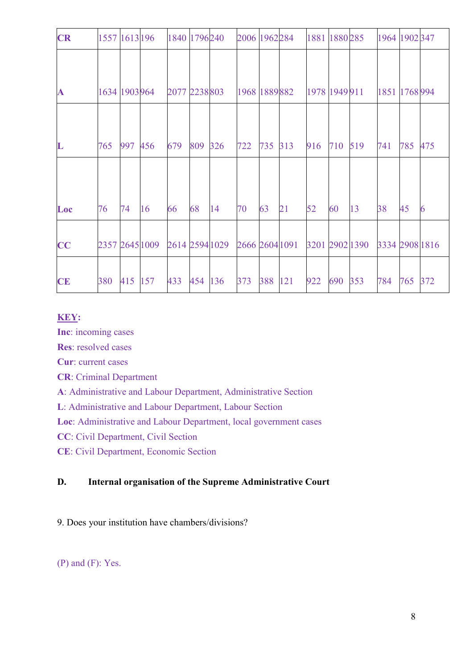| <b>CR</b>    |               |     | 1557 1613 196 1840 1796 240   |               |     |     | 2006 1962 284  |     |     | 1881 1880 285 |     |                | 1964 1902 347  |     |     |
|--------------|---------------|-----|-------------------------------|---------------|-----|-----|----------------|-----|-----|---------------|-----|----------------|----------------|-----|-----|
|              |               |     |                               |               |     |     |                |     |     |               |     |                |                |     |     |
| $\mathbf{A}$ | 1634 1903 964 |     |                               | 2077 2238 803 |     |     | 1968 1889 882  |     |     | 1978 1949 911 |     |                | 1851 1768 994  |     |     |
|              |               |     |                               |               |     |     |                |     |     |               |     |                |                |     |     |
| $\mathbf L$  | 765           | 997 | 456                           | 679           | 809 | 326 | 722            | 735 | 313 | 916           | 710 | 519            | 741            | 785 | 475 |
|              |               |     |                               |               |     |     |                |     |     |               |     |                |                |     |     |
| Loc          | 76            | 74  | 16                            | 66            | 68  | 14  | 70             | 63  | 21  | 52            | 60  | 13             | 38             | 45  | 6   |
| CC           |               |     | 2357 2645 1009 2614 2594 1029 |               |     |     | 2666 2604 1091 |     |     |               |     | 3201 2902 1390 | 3334 2908 1816 |     |     |
| <b>CE</b>    | 380           | 415 | 157                           | 433           | 454 | 136 | 373            | 388 | 121 | 922           | 690 | 353            | 784            | 765 | 372 |

### **KEY:**

**Inc**: incoming cases

**Res**: resolved cases

**Cur**: current cases

**CR**: Criminal Department

**A**: Administrative and Labour Department, Administrative Section

**L**: Administrative and Labour Department, Labour Section

**Loc**: Administrative and Labour Department, local government cases

**CC**: Civil Department, Civil Section

**CE**: Civil Department, Economic Section

# **D. Internal organisation of the Supreme Administrative Court**

9. Does your institution have chambers/divisions?

(P) and (F): Yes.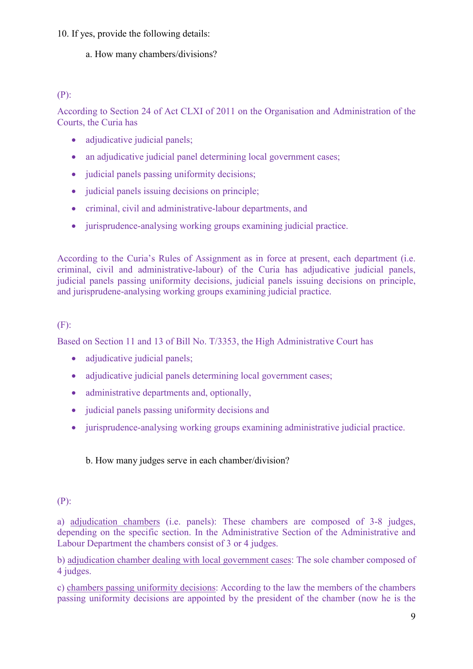#### 10. If yes, provide the following details:

# a. How many chambers/divisions?

### (P):

According to Section 24 of Act CLXI of 2011 on the Organisation and Administration of the Courts, the Curia has

- adjudicative judicial panels;
- an adjudicative judicial panel determining local government cases;
- judicial panels passing uniformity decisions:
- judicial panels issuing decisions on principle:
- criminal, civil and administrative-labour departments, and
- jurisprudence-analysing working groups examining judicial practice.

According to the Curia's Rules of Assignment as in force at present, each department (i.e. criminal, civil and administrative-labour) of the Curia has adjudicative judicial panels, judicial panels passing uniformity decisions, judicial panels issuing decisions on principle, and jurisprudene-analysing working groups examining judicial practice.

# (F):

Based on Section 11 and 13 of Bill No. T/3353, the High Administrative Court has

- adjudicative judicial panels;
- adjudicative judicial panels determining local government cases;
- administrative departments and, optionally,
- judicial panels passing uniformity decisions and
- jurisprudence-analysing working groups examining administrative judicial practice.

b. How many judges serve in each chamber/division?

# (P):

a) adjudication chambers (i.e. panels): These chambers are composed of 3-8 judges, depending on the specific section. In the Administrative Section of the Administrative and Labour Department the chambers consist of 3 or 4 judges.

b) adjudication chamber dealing with local government cases: The sole chamber composed of 4 judges.

c) chambers passing uniformity decisions: According to the law the members of the chambers passing uniformity decisions are appointed by the president of the chamber (now he is the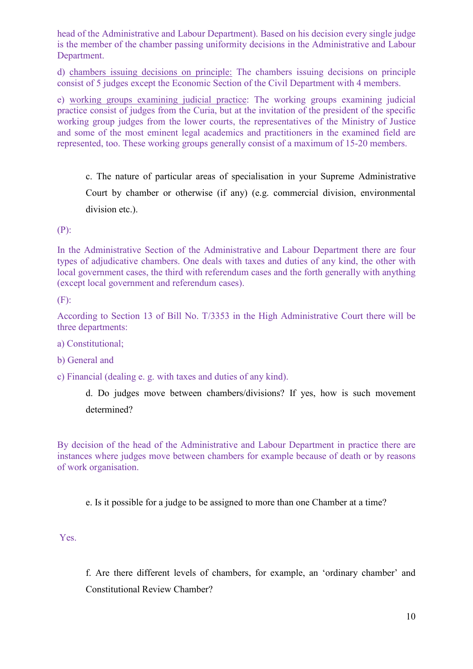head of the Administrative and Labour Department). Based on his decision every single judge is the member of the chamber passing uniformity decisions in the Administrative and Labour Department.

d) chambers issuing decisions on principle: The chambers issuing decisions on principle consist of 5 judges except the Economic Section of the Civil Department with 4 members.

e) working groups examining judicial practice: The working groups examining judicial practice consist of judges from the Curia, but at the invitation of the president of the specific working group judges from the lower courts, the representatives of the Ministry of Justice and some of the most eminent legal academics and practitioners in the examined field are represented, too. These working groups generally consist of a maximum of 15-20 members.

c. The nature of particular areas of specialisation in your Supreme Administrative Court by chamber or otherwise (if any) (e.g. commercial division, environmental division etc.).

(P):

In the Administrative Section of the Administrative and Labour Department there are four types of adjudicative chambers. One deals with taxes and duties of any kind, the other with local government cases, the third with referendum cases and the forth generally with anything (except local government and referendum cases).

(F):

According to Section 13 of Bill No. T/3353 in the High Administrative Court there will be three departments:

a) Constitutional;

b) General and

c) Financial (dealing e. g. with taxes and duties of any kind).

d. Do judges move between chambers/divisions? If yes, how is such movement determined?

By decision of the head of the Administrative and Labour Department in practice there are instances where judges move between chambers for example because of death or by reasons of work organisation.

e. Is it possible for a judge to be assigned to more than one Chamber at a time?

Yes.

f. Are there different levels of chambers, for example, an 'ordinary chamber' and Constitutional Review Chamber?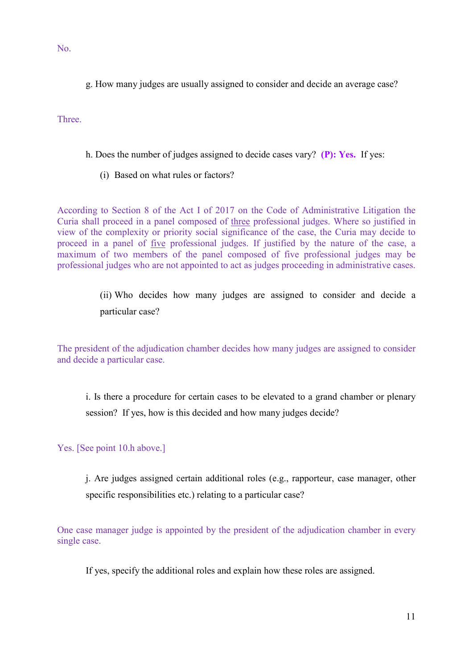No.

g. How many judges are usually assigned to consider and decide an average case?

**Three** 

- h. Does the number of judges assigned to decide cases vary? **(P): Yes.** If yes:
	- (i) Based on what rules or factors?

According to Section 8 of the Act I of 2017 on the Code of Administrative Litigation the Curia shall proceed in a panel composed of three professional judges. Where so justified in view of the complexity or priority social significance of the case, the Curia may decide to proceed in a panel of five professional judges. If justified by the nature of the case, a maximum of two members of the panel composed of five professional judges may be professional judges who are not appointed to act as judges proceeding in administrative cases.

> (ii) Who decides how many judges are assigned to consider and decide a particular case?

The president of the adjudication chamber decides how many judges are assigned to consider and decide a particular case.

i. Is there a procedure for certain cases to be elevated to a grand chamber or plenary session? If yes, how is this decided and how many judges decide?

Yes. [See point 10.h above.]

j. Are judges assigned certain additional roles (e.g., rapporteur, case manager, other specific responsibilities etc.) relating to a particular case?

One case manager judge is appointed by the president of the adjudication chamber in every single case.

If yes, specify the additional roles and explain how these roles are assigned.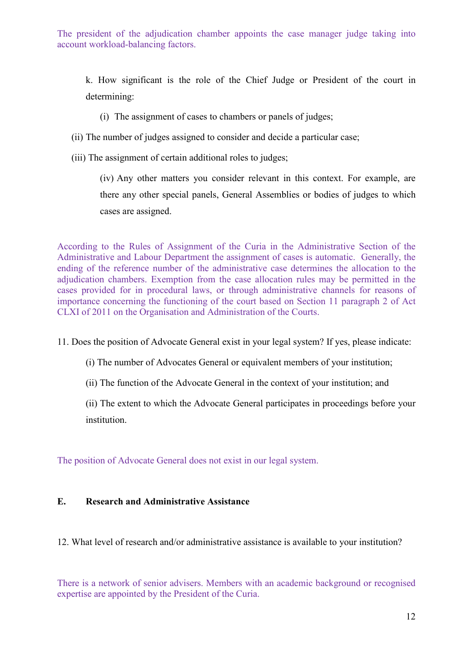The president of the adjudication chamber appoints the case manager judge taking into account workload-balancing factors.

k. How significant is the role of the Chief Judge or President of the court in determining:

(i) The assignment of cases to chambers or panels of judges;

- (ii) The number of judges assigned to consider and decide a particular case;
- (iii) The assignment of certain additional roles to judges;

(iv) Any other matters you consider relevant in this context. For example, are there any other special panels, General Assemblies or bodies of judges to which cases are assigned.

According to the Rules of Assignment of the Curia in the Administrative Section of the Administrative and Labour Department the assignment of cases is automatic. Generally, the ending of the reference number of the administrative case determines the allocation to the adjudication chambers. Exemption from the case allocation rules may be permitted in the cases provided for in procedural laws, or through administrative channels for reasons of importance concerning the functioning of the court based on Section 11 paragraph 2 of Act CLXI of 2011 on the Organisation and Administration of the Courts.

11. Does the position of Advocate General exist in your legal system? If yes, please indicate:

- (i) The number of Advocates General or equivalent members of your institution;
- (ii) The function of the Advocate General in the context of your institution; and

(ii) The extent to which the Advocate General participates in proceedings before your institution.

The position of Advocate General does not exist in our legal system.

#### **E. Research and Administrative Assistance**

12. What level of research and/or administrative assistance is available to your institution?

There is a network of senior advisers. Members with an academic background or recognised expertise are appointed by the President of the Curia.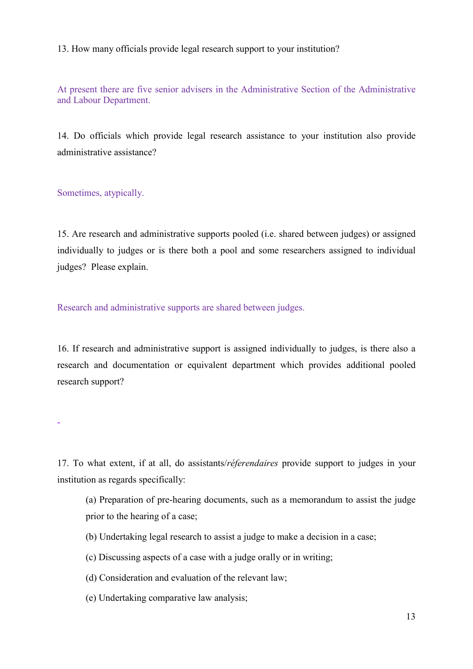13. How many officials provide legal research support to your institution?

At present there are five senior advisers in the Administrative Section of the Administrative and Labour Department.

14. Do officials which provide legal research assistance to your institution also provide administrative assistance?

Sometimes, atypically.

15. Are research and administrative supports pooled (i.e. shared between judges) or assigned individually to judges or is there both a pool and some researchers assigned to individual judges? Please explain.

Research and administrative supports are shared between judges.

16. If research and administrative support is assigned individually to judges, is there also a research and documentation or equivalent department which provides additional pooled research support?

-

17. To what extent, if at all, do assistants/*réferendaires* provide support to judges in your institution as regards specifically:

(a) Preparation of pre-hearing documents, such as a memorandum to assist the judge prior to the hearing of a case;

- (b) Undertaking legal research to assist a judge to make a decision in a case;
- (c) Discussing aspects of a case with a judge orally or in writing;
- (d) Consideration and evaluation of the relevant law;
- (e) Undertaking comparative law analysis;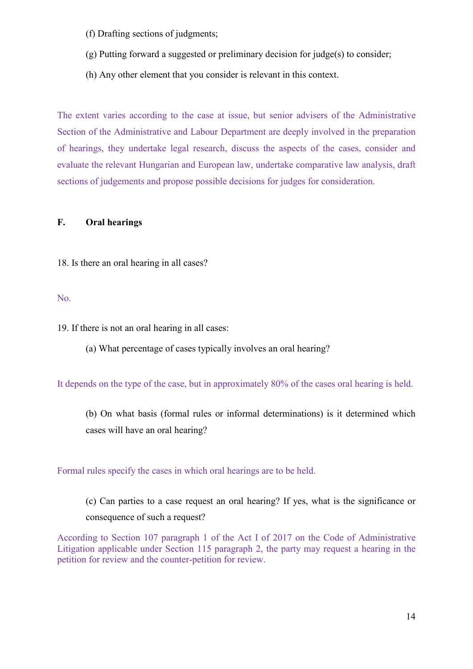- (f) Drafting sections of judgments;
- (g) Putting forward a suggested or preliminary decision for judge(s) to consider;
- (h) Any other element that you consider is relevant in this context.

The extent varies according to the case at issue, but senior advisers of the Administrative Section of the Administrative and Labour Department are deeply involved in the preparation of hearings, they undertake legal research, discuss the aspects of the cases, consider and evaluate the relevant Hungarian and European law, undertake comparative law analysis, draft sections of judgements and propose possible decisions for judges for consideration.

### **F. Oral hearings**

18. Is there an oral hearing in all cases?

#### No.

19. If there is not an oral hearing in all cases:

(a) What percentage of cases typically involves an oral hearing?

It depends on the type of the case, but in approximately 80% of the cases oral hearing is held.

(b) On what basis (formal rules or informal determinations) is it determined which cases will have an oral hearing?

Formal rules specify the cases in which oral hearings are to be held.

(c) Can parties to a case request an oral hearing? If yes, what is the significance or consequence of such a request?

According to Section 107 paragraph 1 of the Act I of 2017 on the Code of Administrative Litigation applicable under Section 115 paragraph 2, the party may request a hearing in the petition for review and the counter-petition for review.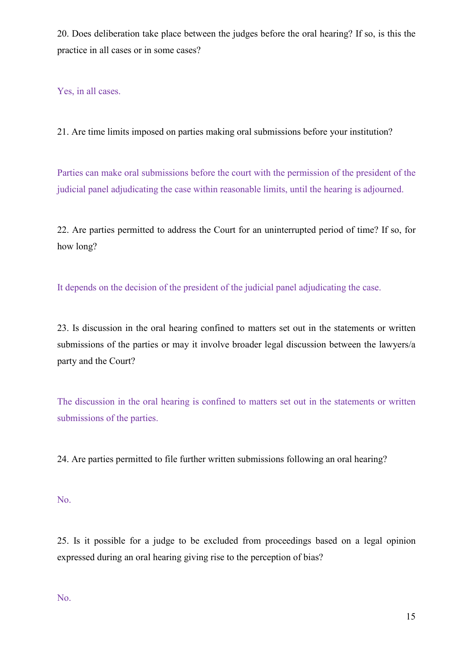20. Does deliberation take place between the judges before the oral hearing? If so, is this the practice in all cases or in some cases?

Yes, in all cases.

21. Are time limits imposed on parties making oral submissions before your institution?

Parties can make oral submissions before the court with the permission of the president of the judicial panel adjudicating the case within reasonable limits, until the hearing is adjourned.

22. Are parties permitted to address the Court for an uninterrupted period of time? If so, for how long?

It depends on the decision of the president of the judicial panel adjudicating the case.

23. Is discussion in the oral hearing confined to matters set out in the statements or written submissions of the parties or may it involve broader legal discussion between the lawyers/a party and the Court?

The discussion in the oral hearing is confined to matters set out in the statements or written submissions of the parties.

24. Are parties permitted to file further written submissions following an oral hearing?

No.

25. Is it possible for a judge to be excluded from proceedings based on a legal opinion expressed during an oral hearing giving rise to the perception of bias?

No.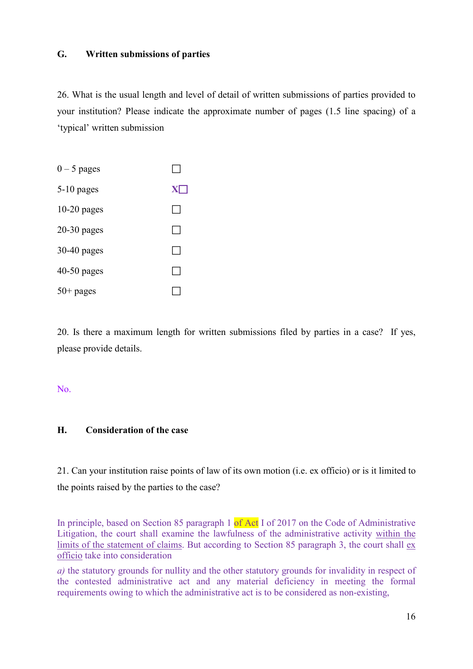#### **G. Written submissions of parties**

26. What is the usual length and level of detail of written submissions of parties provided to your institution? Please indicate the approximate number of pages (1.5 line spacing) of a 'typical' written submission



20. Is there a maximum length for written submissions filed by parties in a case? If yes, please provide details.

#### No.

#### **H. Consideration of the case**

21. Can your institution raise points of law of its own motion (i.e. ex officio) or is it limited to the points raised by the parties to the case?

In principle, based on Section 85 paragraph 1 of Act I of 2017 on the Code of Administrative Litigation, the court shall examine the lawfulness of the administrative activity within the limits of the statement of claims. But according to Section 85 paragraph 3, the court shall  $ex$ officio take into consideration

*a*) the statutory grounds for nullity and the other statutory grounds for invalidity in respect of the contested administrative act and any material deficiency in meeting the formal requirements owing to which the administrative act is to be considered as non-existing,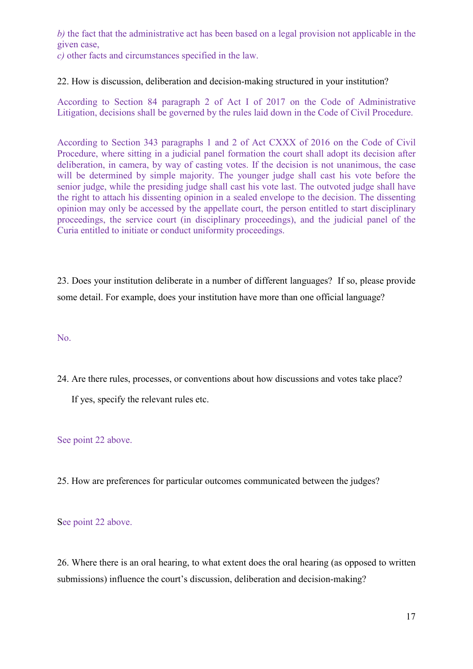*b)* the fact that the administrative act has been based on a legal provision not applicable in the given case,

*c)* other facts and circumstances specified in the law.

#### 22. How is discussion, deliberation and decision-making structured in your institution?

According to Section 84 paragraph 2 of Act I of 2017 on the Code of Administrative Litigation, decisions shall be governed by the rules laid down in the Code of Civil Procedure.

According to Section 343 paragraphs 1 and 2 of Act CXXX of 2016 on the Code of Civil Procedure, where sitting in a judicial panel formation the court shall adopt its decision after deliberation, in camera, by way of casting votes. If the decision is not unanimous, the case will be determined by simple majority. The younger judge shall cast his vote before the senior judge, while the presiding judge shall cast his vote last. The outvoted judge shall have the right to attach his dissenting opinion in a sealed envelope to the decision. The dissenting opinion may only be accessed by the appellate court, the person entitled to start disciplinary proceedings, the service court (in disciplinary proceedings), and the judicial panel of the Curia entitled to initiate or conduct uniformity proceedings.

23. Does your institution deliberate in a number of different languages? If so, please provide some detail. For example, does your institution have more than one official language?

No.

24. Are there rules, processes, or conventions about how discussions and votes take place?

If yes, specify the relevant rules etc.

See point 22 above.

25. How are preferences for particular outcomes communicated between the judges?

See point 22 above.

26. Where there is an oral hearing, to what extent does the oral hearing (as opposed to written submissions) influence the court's discussion, deliberation and decision-making?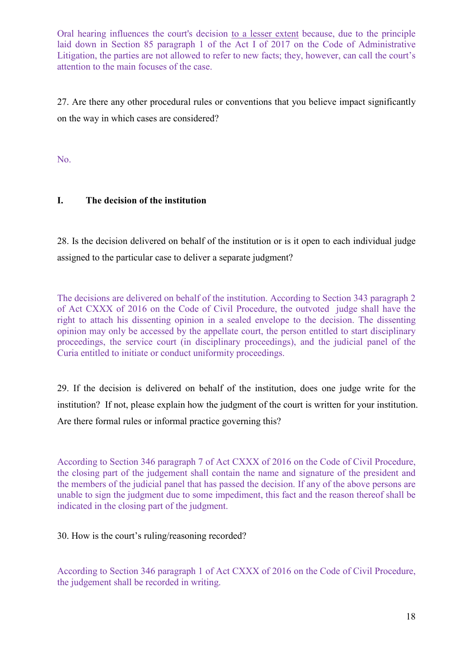Oral hearing influences the court's decision to a lesser extent because, due to the principle laid down in Section 85 paragraph 1 of the Act I of 2017 on the Code of Administrative Litigation, the parties are not allowed to refer to new facts; they, however, can call the court's attention to the main focuses of the case.

27. Are there any other procedural rules or conventions that you believe impact significantly on the way in which cases are considered?

No.

# **I. The decision of the institution**

28. Is the decision delivered on behalf of the institution or is it open to each individual judge assigned to the particular case to deliver a separate judgment?

The decisions are delivered on behalf of the institution. According to Section 343 paragraph 2 of Act CXXX of 2016 on the Code of Civil Procedure, the outvoted judge shall have the right to attach his dissenting opinion in a sealed envelope to the decision. The dissenting opinion may only be accessed by the appellate court, the person entitled to start disciplinary proceedings, the service court (in disciplinary proceedings), and the judicial panel of the Curia entitled to initiate or conduct uniformity proceedings.

29. If the decision is delivered on behalf of the institution, does one judge write for the institution? If not, please explain how the judgment of the court is written for your institution. Are there formal rules or informal practice governing this?

According to Section 346 paragraph 7 of Act CXXX of 2016 on the Code of Civil Procedure, the closing part of the judgement shall contain the name and signature of the president and the members of the judicial panel that has passed the decision. If any of the above persons are unable to sign the judgment due to some impediment, this fact and the reason thereof shall be indicated in the closing part of the judgment.

30. How is the court's ruling/reasoning recorded?

According to Section 346 paragraph 1 of Act CXXX of 2016 on the Code of Civil Procedure, the judgement shall be recorded in writing.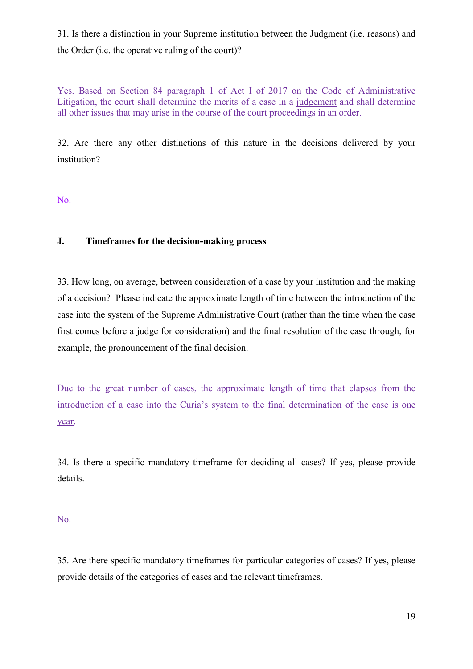31. Is there a distinction in your Supreme institution between the Judgment (i.e. reasons) and the Order (i.e. the operative ruling of the court)?

Yes. Based on Section 84 paragraph 1 of Act I of 2017 on the Code of Administrative Litigation, the court shall determine the merits of a case in a judgement and shall determine all other issues that may arise in the course of the court proceedings in an order.

32. Are there any other distinctions of this nature in the decisions delivered by your institution?

No.

#### **J. Timeframes for the decision-making process**

33. How long, on average, between consideration of a case by your institution and the making of a decision? Please indicate the approximate length of time between the introduction of the case into the system of the Supreme Administrative Court (rather than the time when the case first comes before a judge for consideration) and the final resolution of the case through, for example, the pronouncement of the final decision.

Due to the great number of cases, the approximate length of time that elapses from the introduction of a case into the Curia's system to the final determination of the case is one year.

34. Is there a specific mandatory timeframe for deciding all cases? If yes, please provide details.

No.

35. Are there specific mandatory timeframes for particular categories of cases? If yes, please provide details of the categories of cases and the relevant timeframes.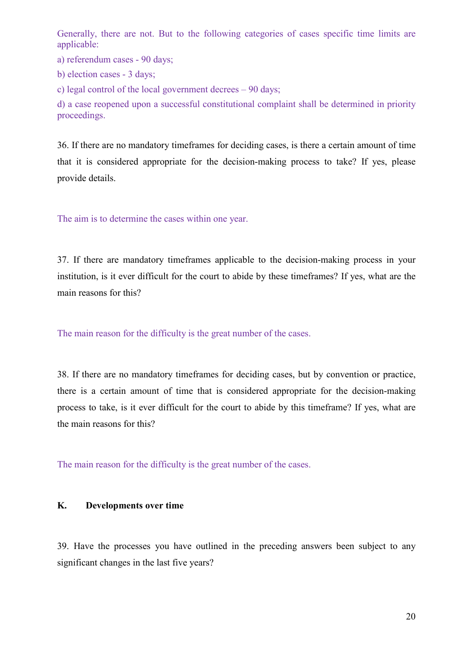Generally, there are not. But to the following categories of cases specific time limits are applicable:

a) referendum cases - 90 days;

b) election cases - 3 days;

c) legal control of the local government decrees – 90 days;

d) a case reopened upon a successful constitutional complaint shall be determined in priority proceedings.

36. If there are no mandatory timeframes for deciding cases, is there a certain amount of time that it is considered appropriate for the decision-making process to take? If yes, please provide details.

The aim is to determine the cases within one year.

37. If there are mandatory timeframes applicable to the decision-making process in your institution, is it ever difficult for the court to abide by these timeframes? If yes, what are the main reasons for this?

The main reason for the difficulty is the great number of the cases.

38. If there are no mandatory timeframes for deciding cases, but by convention or practice, there is a certain amount of time that is considered appropriate for the decision-making process to take, is it ever difficult for the court to abide by this timeframe? If yes, what are the main reasons for this?

The main reason for the difficulty is the great number of the cases.

#### **K. Developments over time**

39. Have the processes you have outlined in the preceding answers been subject to any significant changes in the last five years?